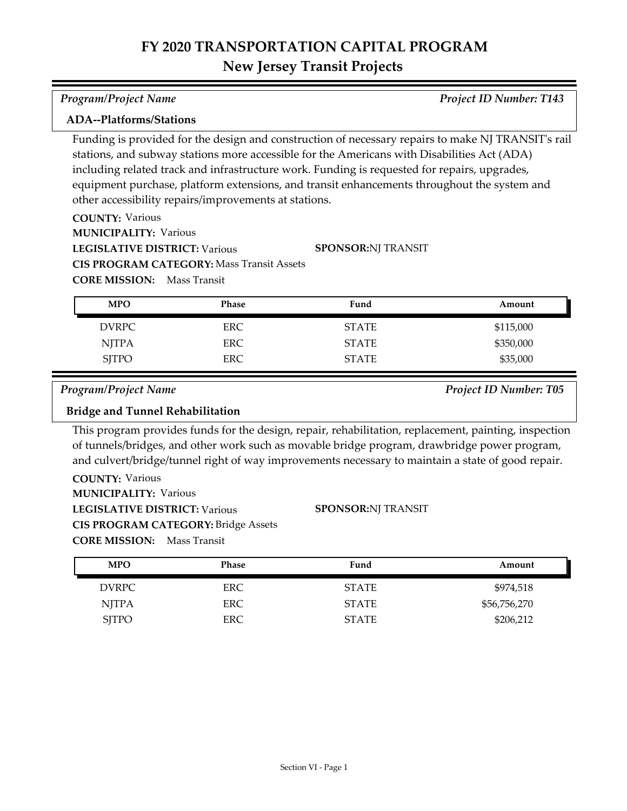| <b>Program/Project Name</b> | <b>Project ID Number: T143</b> |
|-----------------------------|--------------------------------|
|-----------------------------|--------------------------------|

### **ADA--Platforms/Stations**

Funding is provided for the design and construction of necessary repairs to make NJ TRANSIT's rail stations, and subway stations more accessible for the Americans with Disabilities Act (ADA) including related track and infrastructure work. Funding is requested for repairs, upgrades, equipment purchase, platform extensions, and transit enhancements throughout the system and other accessibility repairs/improvements at stations.

**COUNTY:** Various **LEGISLATIVE DISTRICT:** Various **MUNICIPALITY: Various CORE MISSION:** Mass Transit **CIS PROGRAM CATEGORY:** Mass Transit Assets **SPONSOR:** NJ TRANSIT

| <b>MPO</b>   | Phase      | Fund         | Amount    |
|--------------|------------|--------------|-----------|
| <b>DVRPC</b> | <b>ERC</b> | <b>STATE</b> | \$115,000 |
| <b>NJTPA</b> | ERC.       | <b>STATE</b> | \$350,000 |
| <b>SJTPO</b> | <b>ERC</b> | <b>STATE</b> | \$35,000  |

*Program/Project Name Project ID Number: T05*

### **Bridge and Tunnel Rehabilitation**

This program provides funds for the design, repair, rehabilitation, replacement, painting, inspection of tunnels/bridges, and other work such as movable bridge program, drawbridge power program, and culvert/bridge/tunnel right of way improvements necessary to maintain a state of good repair.

**COUNTY:** Various **LEGISLATIVE DISTRICT:** Various **MUNICIPALITY: Various CORE MISSION:** Mass Transit **CIS PROGRAM CATEGORY:** Bridge Assets

#### **SPONSOR:** NJ TRANSIT

| <b>MPO</b>   | Phase | Fund         | Amount       |
|--------------|-------|--------------|--------------|
| DVRPC        | ERC.  | <b>STATE</b> | \$974,518    |
| <b>NJTPA</b> | ERC.  | <b>STATE</b> | \$56,756,270 |
| <b>SITPO</b> | ERC   | <b>STATE</b> | \$206,212    |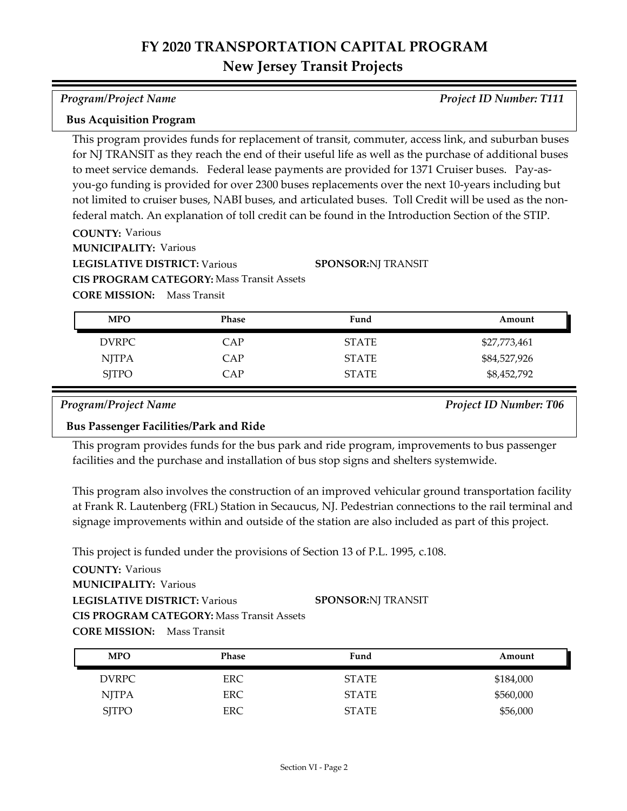*Program/Project Name Project ID Number: T111*

#### **Bus Acquisition Program**

This program provides funds for replacement of transit, commuter, access link, and suburban buses for NJ TRANSIT as they reach the end of their useful life as well as the purchase of additional buses to meet service demands. Federal lease payments are provided for 1371 Cruiser buses. Pay-asyou-go funding is provided for over 2300 buses replacements over the next 10-years including but not limited to cruiser buses, NABI buses, and articulated buses. Toll Credit will be used as the nonfederal match. An explanation of toll credit can be found in the Introduction Section of the STIP.

**COUNTY:** Various

**MUNICIPALITY: Various** 

**LEGISLATIVE DISTRICT:** Various

**CIS PROGRAM CATEGORY:** Mass Transit Assets

**CORE MISSION:** Mass Transit

| <b>MPO</b>   | Phase | Fund         | Amount       |
|--------------|-------|--------------|--------------|
| DVRPC        | CAP   | <b>STATE</b> | \$27,773,461 |
| <b>NJTPA</b> | CAP   | <b>STATE</b> | \$84,527,926 |
| <b>SJTPO</b> | CAP   | <b>STATE</b> | \$8,452,792  |

**SPONSOR:** NJ TRANSIT

*Program/Project Name Project ID Number: T06*

### **Bus Passenger Facilities/Park and Ride**

This program provides funds for the bus park and ride program, improvements to bus passenger facilities and the purchase and installation of bus stop signs and shelters systemwide.

This program also involves the construction of an improved vehicular ground transportation facility at Frank R. Lautenberg (FRL) Station in Secaucus, NJ. Pedestrian connections to the rail terminal and signage improvements within and outside of the station are also included as part of this project.

This project is funded under the provisions of Section 13 of P.L. 1995, c.108.

| <b>MPO</b>   | <b>Phase</b> | Fund         | Amount    |
|--------------|--------------|--------------|-----------|
| <b>DVRPC</b> | ERC          | <b>STATE</b> | \$184,000 |
| <b>NJTPA</b> | <b>ERC</b>   | <b>STATE</b> | \$560,000 |
| <b>SJTPO</b> | <b>ERC</b>   | <b>STATE</b> | \$56,000  |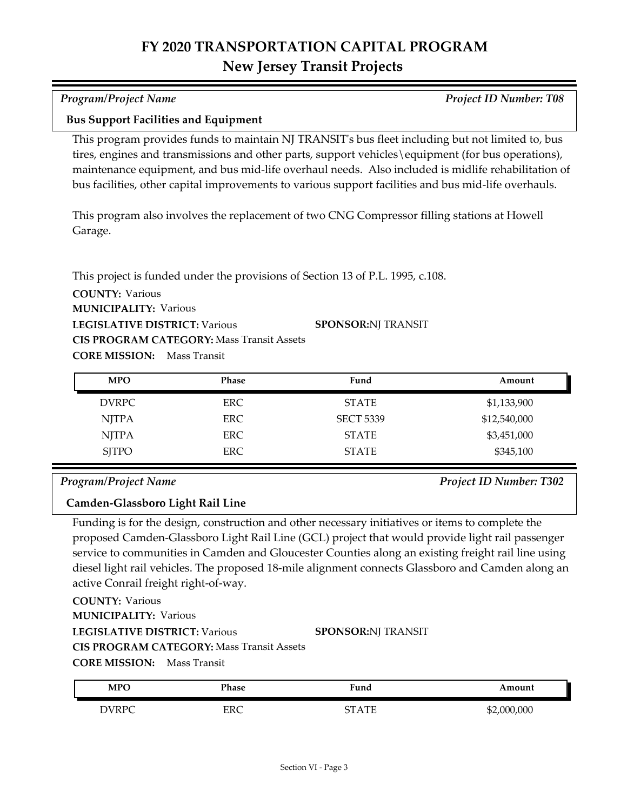|                                                                                | This program provides funds to maintain NJ TRANSIT's bus fleet including but not limited to, bus     |
|--------------------------------------------------------------------------------|------------------------------------------------------------------------------------------------------|
|                                                                                | tires, engines and transmissions and other parts, support vehicles\equipment (for bus operations),   |
|                                                                                | maintenance equipment, and bus mid-life overhaul needs. Also included is midlife rehabilitation of   |
|                                                                                | bus facilities, other capital improvements to various support facilities and bus mid-life overhauls. |
| Garage.                                                                        | This program also involves the replacement of two CNG Compressor filling stations at Howell          |
| This project is funded under the provisions of Section 13 of P.L. 1995, c.108. |                                                                                                      |
| <b>COUNTY: Various</b>                                                         |                                                                                                      |
| <b>MUNICIPALITY: Various</b>                                                   |                                                                                                      |
| <b>LEGISLATIVE DISTRICT: Various</b>                                           | <b>SPONSOR:NJ TRANSIT</b>                                                                            |
| <b>CIS PROGRAM CATEGORY: Mass Transit Assets</b>                               |                                                                                                      |

**CORE MISSION:** Mass Transit

**Bus Support Facilities and Equipment**

| <b>MPO</b>   | Phase      | Fund             | Amount       |
|--------------|------------|------------------|--------------|
| <b>DVRPC</b> | ERC-       | <b>STATE</b>     | \$1,133,900  |
| <b>NJTPA</b> | ERC.       | <b>SECT 5339</b> | \$12,540,000 |
| <b>NJTPA</b> | ERC.       | <b>STATE</b>     | \$3,451,000  |
| <b>SJTPO</b> | <b>ERC</b> | <b>STATE</b>     | \$345,100    |

#### *Program/Project Name Project ID Number: T302*

#### **Camden-Glassboro Light Rail Line**

Funding is for the design, construction and other necessary initiatives or items to complete the proposed Camden-Glassboro Light Rail Line (GCL) project that would provide light rail passenger service to communities in Camden and Gloucester Counties along an existing freight rail line using diesel light rail vehicles. The proposed 18-mile alignment connects Glassboro and Camden along an active Conrail freight right-of-way.

## **COUNTY:** Various

**MUNICIPALITY: Various** 

### **LEGISLATIVE DISTRICT:** Various

### **SPONSOR:** NJ TRANSIT

**CIS PROGRAM CATEGORY:** Mass Transit Assets

**CORE MISSION:** Mass Transit

| <b>MPO</b>   | Phase | Fund             | Amount      |
|--------------|-------|------------------|-------------|
| <b>DVRPC</b> | ERC   | rт<br>ΓΔΤΕ<br>L. | \$2,000,000 |

### *Program/Project Name Project ID Number: T08*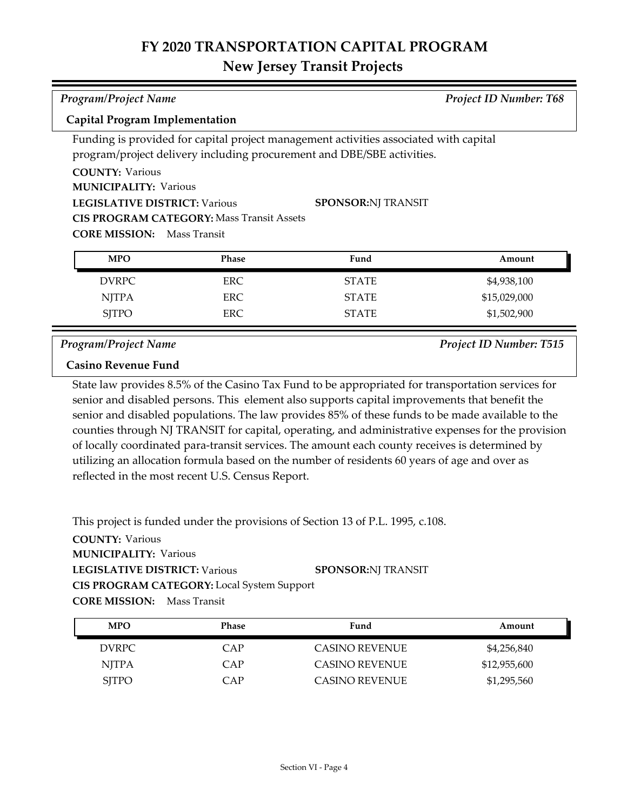## **FY 2020 TRANSPORTATION CAPITAL PROGRAM**

### **New Jersey Transit Projects**

| <b>Program/Project Name</b>                                       |              | <b>Project ID Number: T68</b>                                                         |              |  |
|-------------------------------------------------------------------|--------------|---------------------------------------------------------------------------------------|--------------|--|
| <b>Capital Program Implementation</b>                             |              |                                                                                       |              |  |
|                                                                   |              | Funding is provided for capital project management activities associated with capital |              |  |
|                                                                   |              | program/project delivery including procurement and DBE/SBE activities.                |              |  |
| <b>COUNTY: Various</b>                                            |              |                                                                                       |              |  |
| <b>MUNICIPALITY: Various</b>                                      |              |                                                                                       |              |  |
| <b>SPONSOR:NJ TRANSIT</b><br><b>LEGISLATIVE DISTRICT: Various</b> |              |                                                                                       |              |  |
| <b>CIS PROGRAM CATEGORY: Mass Transit Assets</b>                  |              |                                                                                       |              |  |
| <b>CORE MISSION:</b>                                              | Mass Transit |                                                                                       |              |  |
| <b>MPO</b>                                                        | Phase        | Fund                                                                                  | Amount       |  |
|                                                                   |              |                                                                                       |              |  |
| <b>DVRPC</b>                                                      | <b>ERC</b>   | <b>STATE</b>                                                                          | \$4,938,100  |  |
| <b>NJTPA</b>                                                      | ERC.         | <b>STATE</b>                                                                          | \$15,029,000 |  |
| <b>SITPO</b>                                                      | ERC          | <b>STATE</b>                                                                          | \$1,502,900  |  |

*Program/Project Name Project ID Number: T515*

### **Casino Revenue Fund**

State law provides 8.5% of the Casino Tax Fund to be appropriated for transportation services for senior and disabled persons. This element also supports capital improvements that benefit the senior and disabled populations. The law provides 85% of these funds to be made available to the counties through NJ TRANSIT for capital, operating, and administrative expenses for the provision of locally coordinated para-transit services. The amount each county receives is determined by utilizing an allocation formula based on the number of residents 60 years of age and over as reflected in the most recent U.S. Census Report.

This project is funded under the provisions of Section 13 of P.L. 1995, c.108.

| <b>MPO</b>   | Phase | Fund                  | Amount       |
|--------------|-------|-----------------------|--------------|
| DVRPC        | CAP   | <b>CASINO REVENUE</b> | \$4,256,840  |
| <b>NITPA</b> | CAP   | <b>CASINO REVENUE</b> | \$12,955,600 |
| <b>SITPO</b> | CAP   | <b>CASINO REVENUE</b> | \$1,295,560  |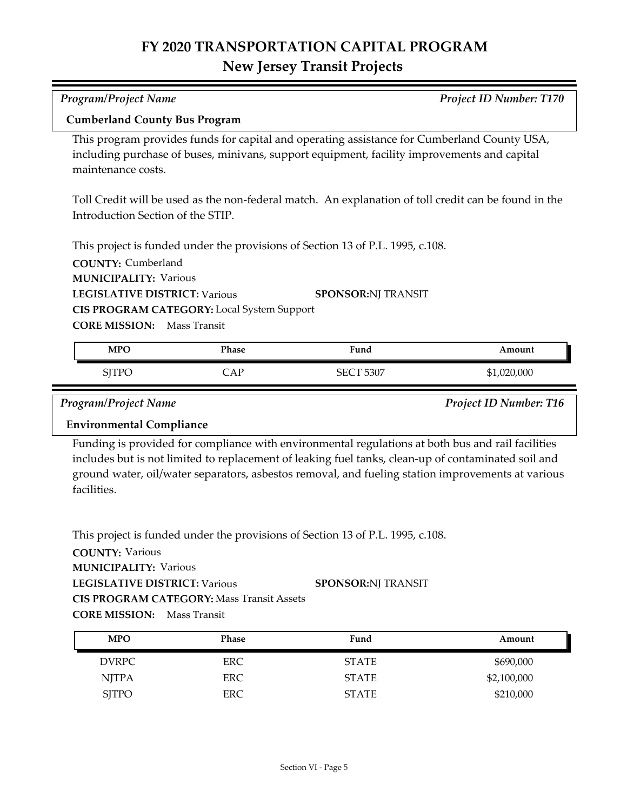| Program/Project Name<br>Project ID Number: T170                                                                                                                                                                  |              |                                                                                                                                                                                                          |        |  |
|------------------------------------------------------------------------------------------------------------------------------------------------------------------------------------------------------------------|--------------|----------------------------------------------------------------------------------------------------------------------------------------------------------------------------------------------------------|--------|--|
| <b>Cumberland County Bus Program</b>                                                                                                                                                                             |              |                                                                                                                                                                                                          |        |  |
| This program provides funds for capital and operating assistance for Cumberland County USA,<br>including purchase of buses, minivans, support equipment, facility improvements and capital<br>maintenance costs. |              |                                                                                                                                                                                                          |        |  |
| Introduction Section of the STIP.                                                                                                                                                                                |              | Toll Credit will be used as the non-federal match. An explanation of toll credit can be found in the                                                                                                     |        |  |
|                                                                                                                                                                                                                  |              | This project is funded under the provisions of Section 13 of P.L. 1995, c.108.                                                                                                                           |        |  |
| <b>COUNTY: Cumberland</b>                                                                                                                                                                                        |              |                                                                                                                                                                                                          |        |  |
| <b>MUNICIPALITY: Various</b>                                                                                                                                                                                     |              |                                                                                                                                                                                                          |        |  |
| <b>LEGISLATIVE DISTRICT: Various</b>                                                                                                                                                                             |              | <b>SPONSOR:NJ TRANSIT</b>                                                                                                                                                                                |        |  |
| CIS PROGRAM CATEGORY: Local System Support                                                                                                                                                                       |              |                                                                                                                                                                                                          |        |  |
| <b>CORE MISSION:</b>                                                                                                                                                                                             | Mass Transit |                                                                                                                                                                                                          |        |  |
| <b>MPO</b>                                                                                                                                                                                                       | Phase        | Fund                                                                                                                                                                                                     | Amount |  |
| <b>SJTPO</b><br>CAP<br><b>SECT 5307</b><br>\$1,020,000                                                                                                                                                           |              |                                                                                                                                                                                                          |        |  |
| <b>Program/Project Name</b><br>Project ID Number: T16                                                                                                                                                            |              |                                                                                                                                                                                                          |        |  |
| <b>Environmental Compliance</b>                                                                                                                                                                                  |              |                                                                                                                                                                                                          |        |  |
|                                                                                                                                                                                                                  |              | Funding is provided for compliance with environmental regulations at both bus and rail facilities<br>includes but is not limited to replacement of leaking fuel tanks, clean-up of contaminated soil and |        |  |

icludes but is not limited to replacement of leaking fuel tanks, clean-up of contaminated soil and ground water, oil/water separators, asbestos removal, and fueling station improvements at various facilities.

This project is funded under the provisions of Section 13 of P.L. 1995, c.108.

| <b>MPO</b>   | <b>Phase</b> | Fund         | Amount      |
|--------------|--------------|--------------|-------------|
| <b>DVRPC</b> | ERC          | <b>STATE</b> | \$690,000   |
| NJTPA        | <b>ERC</b>   | <b>STATE</b> | \$2,100,000 |
| <b>SJTPO</b> | ERC          | <b>STATE</b> | \$210,000   |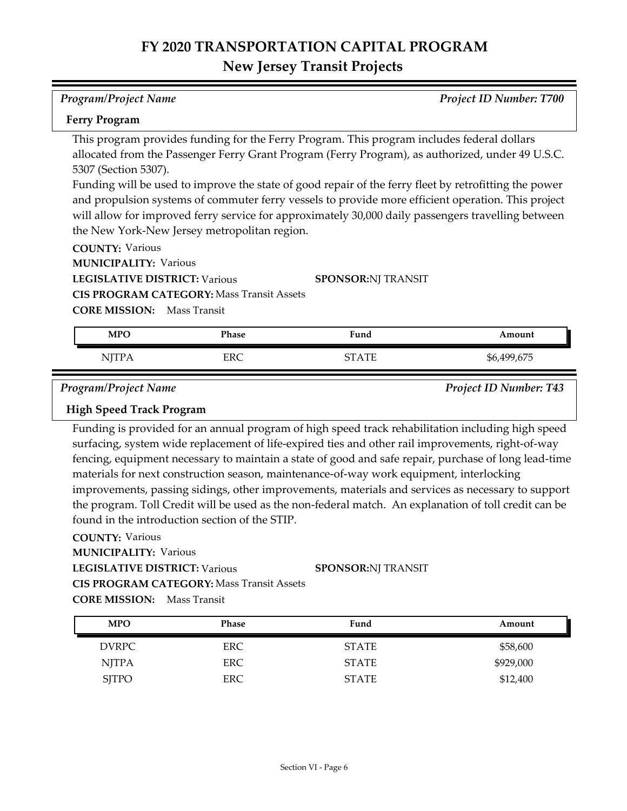#### *Program/Project Name Project ID Number: T700*

#### **Ferry Program**

This program provides funding for the Ferry Program. This program includes federal dollars allocated from the Passenger Ferry Grant Program (Ferry Program), as authorized, under 49 U.S.C. 5307 (Section 5307).

Funding will be used to improve the state of good repair of the ferry fleet by retrofitting the power and propulsion systems of commuter ferry vessels to provide more efficient operation. This project will allow for improved ferry service for approximately 30,000 daily passengers travelling between the New York-New Jersey metropolitan region.

**COUNTY:** Various

**MUNICIPALITY: Various** 

**LEGISLATIVE DISTRICT:** Various

**CIS PROGRAM CATEGORY:** Mass Transit Assets

**SPONSOR:** NJ TRANSIT

**CORE MISSION:** Mass Transit

| <b>MPO</b>   | Phase | Fund         | Amount      |
|--------------|-------|--------------|-------------|
| <b>NJTPA</b> | ERC   | <b>STATE</b> | \$6,499,675 |

*Program/Project Name Project ID Number: T43*

### **High Speed Track Program**

Funding is provided for an annual program of high speed track rehabilitation including high speed surfacing, system wide replacement of life-expired ties and other rail improvements, right-of-way fencing, equipment necessary to maintain a state of good and safe repair, purchase of long lead-time materials for next construction season, maintenance-of-way work equipment, interlocking improvements, passing sidings, other improvements, materials and services as necessary to support the program. Toll Credit will be used as the non-federal match. An explanation of toll credit can be found in the introduction section of the STIP.

### **COUNTY:** Various

**MUNICIPALITY: Various** 

**LEGISLATIVE DISTRICT:** Various

**SPONSOR:** NJ TRANSIT

**CIS PROGRAM CATEGORY:** Mass Transit Assets

| <b>MPO</b>   | <b>Phase</b> | Fund         | Amount    |
|--------------|--------------|--------------|-----------|
| DVRPC        | ERC.         | <b>STATE</b> | \$58,600  |
| NJTPA        | ERC.         | <b>STATE</b> | \$929,000 |
| <b>SJTPO</b> | ERC          | <b>STATE</b> | \$12,400  |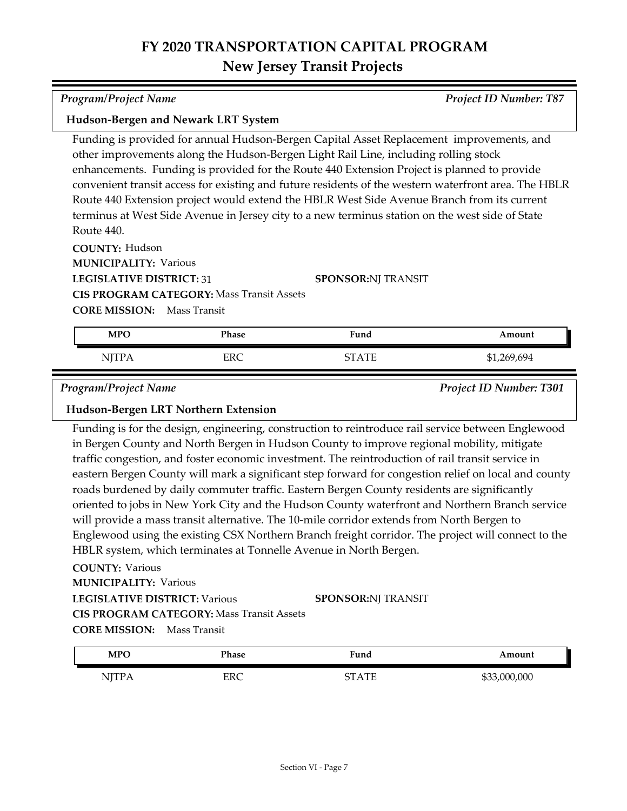| <b>Program/Project Name</b>                      |            |                                                                                                      | <b>Project ID Number: T87</b> |
|--------------------------------------------------|------------|------------------------------------------------------------------------------------------------------|-------------------------------|
| Hudson-Bergen and Newark LRT System              |            |                                                                                                      |                               |
|                                                  |            | Funding is provided for annual Hudson-Bergen Capital Asset Replacement improvements, and             |                               |
|                                                  |            | other improvements along the Hudson-Bergen Light Rail Line, including rolling stock                  |                               |
|                                                  |            | enhancements. Funding is provided for the Route 440 Extension Project is planned to provide          |                               |
|                                                  |            | convenient transit access for existing and future residents of the western waterfront area. The HBLR |                               |
|                                                  |            | Route 440 Extension project would extend the HBLR West Side Avenue Branch from its current           |                               |
|                                                  |            | terminus at West Side Avenue in Jersey city to a new terminus station on the west side of State      |                               |
| Route 440.                                       |            |                                                                                                      |                               |
| <b>COUNTY: Hudson</b>                            |            |                                                                                                      |                               |
| <b>MUNICIPALITY: Various</b>                     |            |                                                                                                      |                               |
| <b>LEGISLATIVE DISTRICT: 31</b>                  |            | <b>SPONSOR:NJ TRANSIT</b>                                                                            |                               |
| <b>CIS PROGRAM CATEGORY: Mass Transit Assets</b> |            |                                                                                                      |                               |
| <b>CORE MISSION:</b> Mass Transit                |            |                                                                                                      |                               |
| <b>MPO</b>                                       | Phase      | Fund                                                                                                 | Amount                        |
| <b>NJTPA</b>                                     | <b>ERC</b> | <b>STATE</b>                                                                                         | \$1,269,694                   |

*Program/Project Name Project ID Number: T301*

#### **Hudson-Bergen LRT Northern Extension**

Funding is for the design, engineering, construction to reintroduce rail service between Englewood in Bergen County and North Bergen in Hudson County to improve regional mobility, mitigate traffic congestion, and foster economic investment. The reintroduction of rail transit service in eastern Bergen County will mark a significant step forward for congestion relief on local and county roads burdened by daily commuter traffic. Eastern Bergen County residents are significantly oriented to jobs in New York City and the Hudson County waterfront and Northern Branch service will provide a mass transit alternative. The 10-mile corridor extends from North Bergen to Englewood using the existing CSX Northern Branch freight corridor. The project will connect to the HBLR system, which terminates at Tonnelle Avenue in North Bergen.

| <b>MPC</b>                   | <sup>p</sup> hase  | Fund<br>. .      | ⊾mount      |
|------------------------------|--------------------|------------------|-------------|
| TTTTL<br>N.<br>. .<br>$-111$ | EDC<br><b>LIVC</b> | <b>THE</b><br>∼⊤ | ,000<br>റററ |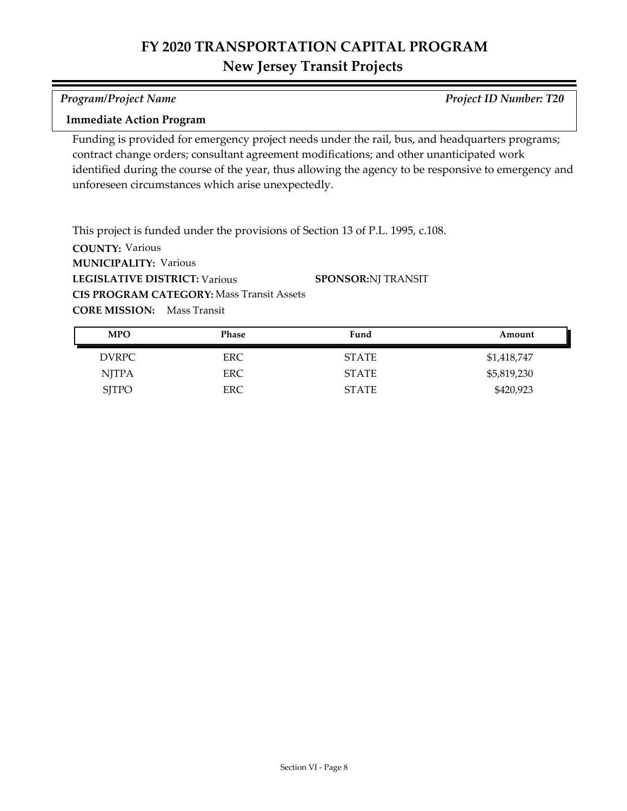#### *Program/Project Name Project ID Number: T20*

#### **Immediate Action Program**

Funding is provided for emergency project needs under the rail, bus, and headquarters programs; contract change orders; consultant agreement modifications; and other unanticipated work identified during the course of the year, thus allowing the agency to be responsive to emergency and unforeseen circumstances which arise unexpectedly.

**COUNTY:** Various **LEGISLATIVE DISTRICT:** Various **MUNICIPALITY: Various CORE MISSION:** Mass Transit This project is funded under the provisions of Section 13 of P.L. 1995, c.108. **CIS PROGRAM CATEGORY:** Mass Transit Assets**SPONSOR:** NJ TRANSIT

| <b>MPO</b>   | <b>Phase</b> | Fund         | Amount      |
|--------------|--------------|--------------|-------------|
| <b>DVRPC</b> | ERC.         | <b>STATE</b> | \$1,418,747 |
| <b>NITPA</b> | ERC.         | <b>STATE</b> | \$5,819,230 |
| <b>SJTPO</b> | ERC          | <b>STATE</b> | \$420,923   |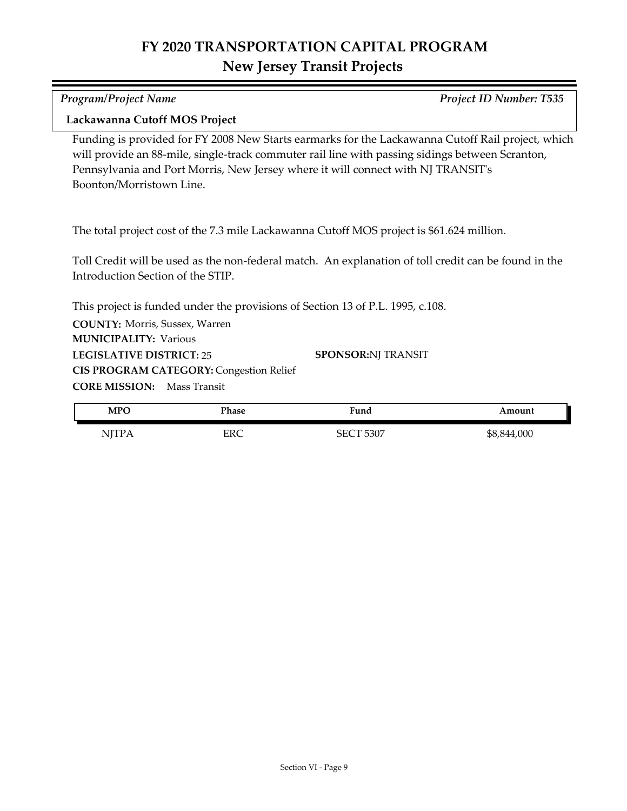*Program/Project Name Project ID Number: T535*

#### **Lackawanna Cutoff MOS Project**

Funding is provided for FY 2008 New Starts earmarks for the Lackawanna Cutoff Rail project, which will provide an 88-mile, single-track commuter rail line with passing sidings between Scranton, Pennsylvania and Port Morris, New Jersey where it will connect with NJ TRANSIT's Boonton/Morristown Line.

The total project cost of the 7.3 mile Lackawanna Cutoff MOS project is \$61.624 million.

Toll Credit will be used as the non-federal match. An explanation of toll credit can be found in the Introduction Section of the STIP.

This project is funded under the provisions of Section 13 of P.L. 1995, c.108.

**COUNTY:** Morris, Sussex, Warren **LEGISLATIVE DISTRICT:** 25 **MUNICIPALITY: Various CORE MISSION:** Mass Transit **CIS PROGRAM CATEGORY: Congestion Relief** 

**SPONSOR:** NJ TRANSIT

| <b>MPO</b>                    | Phase | Fund                                               | Amount      |
|-------------------------------|-------|----------------------------------------------------|-------------|
| NITP A<br>$1$ v $1$ 1 $1$ $1$ | ERC   | 5307<br>$\mathsf{S}\mathsf{E}\mathsf{C}\mathsf{T}$ | \$8,844,000 |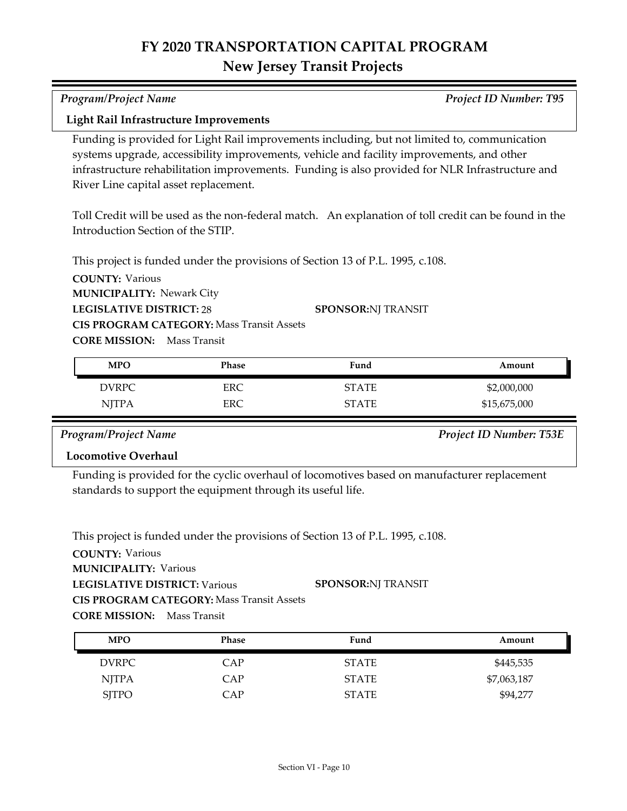| <b>Program/Project Name</b>                                |                                                  |                                                                                                                                                                                                                                                                                              | <b>Project ID Number: T95</b>                                                                        |
|------------------------------------------------------------|--------------------------------------------------|----------------------------------------------------------------------------------------------------------------------------------------------------------------------------------------------------------------------------------------------------------------------------------------------|------------------------------------------------------------------------------------------------------|
| <b>Light Rail Infrastructure Improvements</b>              |                                                  |                                                                                                                                                                                                                                                                                              |                                                                                                      |
| River Line capital asset replacement.                      |                                                  | Funding is provided for Light Rail improvements including, but not limited to, communication<br>systems upgrade, accessibility improvements, vehicle and facility improvements, and other<br>infrastructure rehabilitation improvements. Funding is also provided for NLR Infrastructure and |                                                                                                      |
|                                                            |                                                  |                                                                                                                                                                                                                                                                                              | Toll Credit will be used as the non-federal match. An explanation of toll credit can be found in the |
| Introduction Section of the STIP.                          |                                                  |                                                                                                                                                                                                                                                                                              |                                                                                                      |
| <b>COUNTY: Various</b><br><b>MUNICIPALITY: Newark City</b> |                                                  | This project is funded under the provisions of Section 13 of P.L. 1995, c.108.                                                                                                                                                                                                               |                                                                                                      |
| <b>LEGISLATIVE DISTRICT: 28</b>                            |                                                  | <b>SPONSOR:NJ TRANSIT</b>                                                                                                                                                                                                                                                                    |                                                                                                      |
| <b>CORE MISSION:</b> Mass Transit                          | <b>CIS PROGRAM CATEGORY: Mass Transit Assets</b> |                                                                                                                                                                                                                                                                                              |                                                                                                      |
| <b>MPO</b>                                                 | Phase                                            | Fund                                                                                                                                                                                                                                                                                         | Amount                                                                                               |
| <b>DVRPC</b>                                               | <b>ERC</b>                                       | <b>STATE</b>                                                                                                                                                                                                                                                                                 | \$2,000,000                                                                                          |
| <b>NJTPA</b>                                               | ERC                                              | <b>STATE</b>                                                                                                                                                                                                                                                                                 | \$15,675,000                                                                                         |

*Program/Project Name Project ID Number: T53E*

### **Locomotive Overhaul**

Funding is provided for the cyclic overhaul of locomotives based on manufacturer replacement standards to support the equipment through its useful life.

This project is funded under the provisions of Section 13 of P.L. 1995, c.108.

| <b>MPO</b>   | Phase | Fund         | Amount      |
|--------------|-------|--------------|-------------|
| DVRPC        | CAP   | <b>STATE</b> | \$445,535   |
| NJTPA        | CAP   | <b>STATE</b> | \$7,063,187 |
| <b>SJTPO</b> | CAP   | <b>STATE</b> | \$94,277    |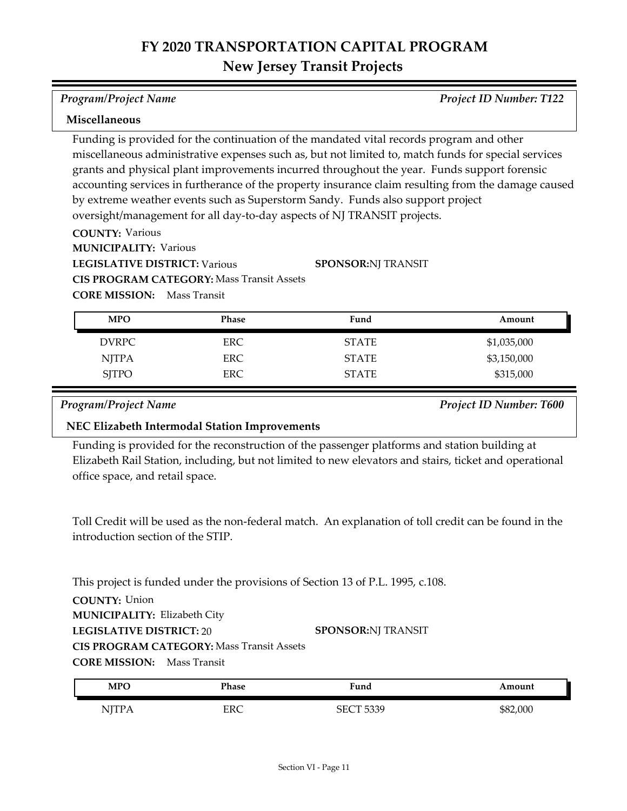*Program/Project Name Project ID Number: T122*

#### **Miscellaneous**

Funding is provided for the continuation of the mandated vital records program and other miscellaneous administrative expenses such as, but not limited to, match funds for special services grants and physical plant improvements incurred throughout the year. Funds support forensic accounting services in furtherance of the property insurance claim resulting from the damage caused by extreme weather events such as Superstorm Sandy. Funds also support project oversight/management for all day-to-day aspects of NJ TRANSIT projects.

**SPONSOR:** NJ TRANSIT

**COUNTY:** Various

**MUNICIPALITY: Various** 

**LEGISLATIVE DISTRICT:** Various

**CIS PROGRAM CATEGORY:** Mass Transit Assets

**CORE MISSION:** Mass Transit

| <b>MPO</b>   | <b>Phase</b> | Fund         | Amount      |
|--------------|--------------|--------------|-------------|
| DVRPC        | ERC.         | <b>STATE</b> | \$1,035,000 |
| <b>NJTPA</b> | ERC.         | <b>STATE</b> | \$3,150,000 |
| <b>SJTPO</b> | ERC.         | <b>STATE</b> | \$315,000   |

*Program/Project Name Project ID Number: T600*

#### **NEC Elizabeth Intermodal Station Improvements**

Funding is provided for the reconstruction of the passenger platforms and station building at Elizabeth Rail Station, including, but not limited to new elevators and stairs, ticket and operational office space, and retail space.

Toll Credit will be used as the non-federal match. An explanation of toll credit can be found in the introduction section of the STIP.

This project is funded under the provisions of Section 13 of P.L. 1995, c.108.

**COUNTY:** Union

**MUNICIPALITY: Elizabeth City** 

**LEGISLATIVE DISTRICT:** 20

**SPONSOR:** NJ TRANSIT

**CIS PROGRAM CATEGORY:** Mass Transit Assets

| <b>MPO</b>      | Phase    | $F$ una | Amount   |
|-----------------|----------|---------|----------|
| <b>* 4</b><br>. | EDC<br>ᅜ | 5330    | \$82,000 |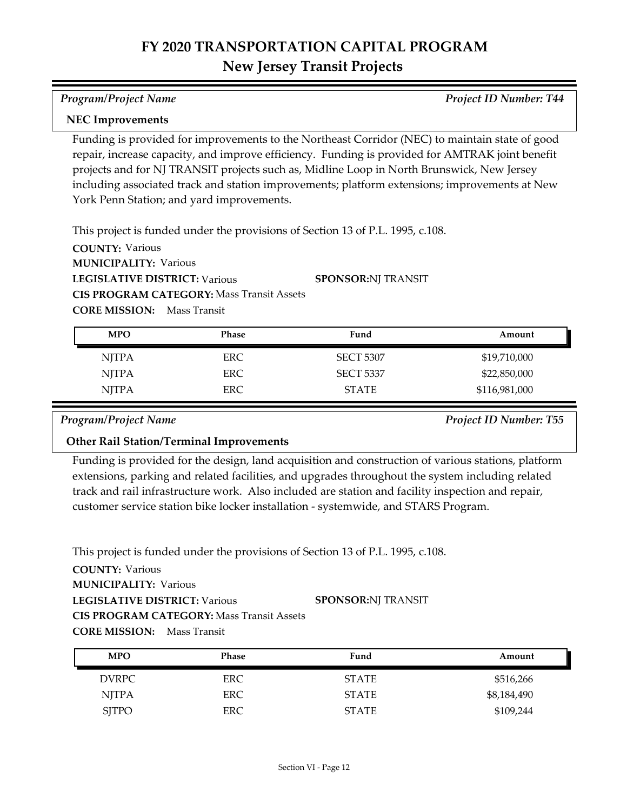*Program/Project Name Project ID Number: T44*

#### **NEC Improvements**

Funding is provided for improvements to the Northeast Corridor (NEC) to maintain state of good repair, increase capacity, and improve efficiency. Funding is provided for AMTRAK joint benefit projects and for NJ TRANSIT projects such as, Midline Loop in North Brunswick, New Jersey including associated track and station improvements; platform extensions; improvements at New York Penn Station; and yard improvements.

This project is funded under the provisions of Section 13 of P.L. 1995, c.108.

**COUNTY:** Various **LEGISLATIVE DISTRICT:** Various **MUNICIPALITY: Various CORE MISSION:** Mass Transit **CIS PROGRAM CATEGORY:** Mass Transit Assets **SPONSOR:** NJ TRANSIT

| <b>MPO</b>   | Phase | Fund             | Amount        |
|--------------|-------|------------------|---------------|
| <b>NITPA</b> | ERC.  | <b>SECT 5307</b> | \$19,710,000  |
| <b>NJTPA</b> | ERC.  | <b>SECT 5337</b> | \$22,850,000  |
| <b>NJTPA</b> | ERC.  | <b>STATE</b>     | \$116,981,000 |

*Program/Project Name Project ID Number: T55*

### **Other Rail Station/Terminal Improvements**

Funding is provided for the design, land acquisition and construction of various stations, platform extensions, parking and related facilities, and upgrades throughout the system including related track and rail infrastructure work. Also included are station and facility inspection and repair, customer service station bike locker installation - systemwide, and STARS Program.

This project is funded under the provisions of Section 13 of P.L. 1995, c.108.

| <b>MPO</b>   | Phase      | Fund         | Amount      |
|--------------|------------|--------------|-------------|
| <b>DVRPC</b> | ERC.       | <b>STATE</b> | \$516,266   |
| <b>NJTPA</b> | <b>ERC</b> | <b>STATE</b> | \$8,184,490 |
| <b>SJTPO</b> | ERC        | <b>STATE</b> | \$109,244   |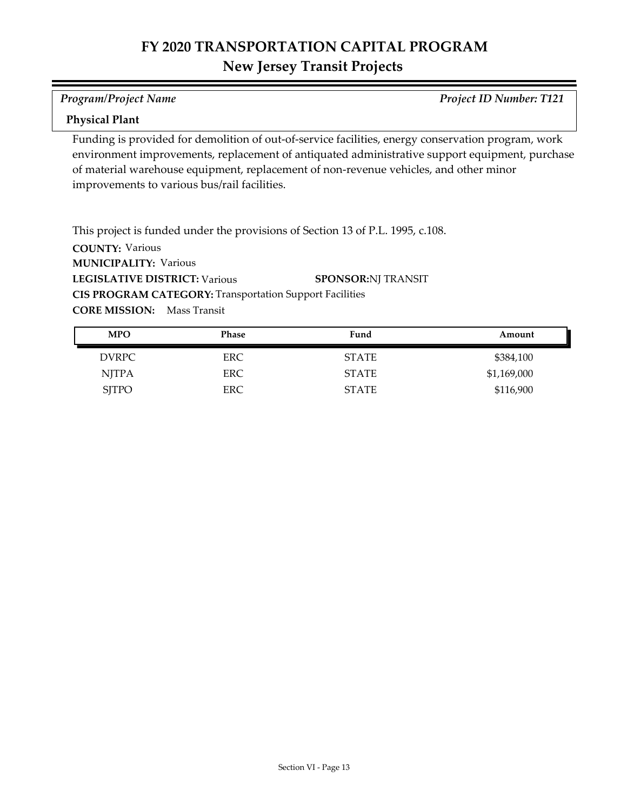*Program/Project Name Project ID Number: T121*

#### **Physical Plant**

Funding is provided for demolition of out-of-service facilities, energy conservation program, work environment improvements, replacement of antiquated administrative support equipment, purchase of material warehouse equipment, replacement of non-revenue vehicles, and other minor improvements to various bus/rail facilities.

**COUNTY:** Various **LEGISLATIVE DISTRICT:** Various **MUNICIPALITY: Various CORE MISSION:** Mass Transit This project is funded under the provisions of Section 13 of P.L. 1995, c.108. **CIS PROGRAM CATEGORY:** Transportation Support Facilities**SPONSOR:** NJ TRANSIT

| <b>MPO</b>   | <b>Phase</b> | Fund         | Amount      |
|--------------|--------------|--------------|-------------|
| <b>DVRPC</b> | ERC          | <b>STATE</b> | \$384,100   |
| <b>NJTPA</b> | ERC          | <b>STATE</b> | \$1,169,000 |
| <b>SJTPO</b> | ERC          | <b>STATE</b> | \$116,900   |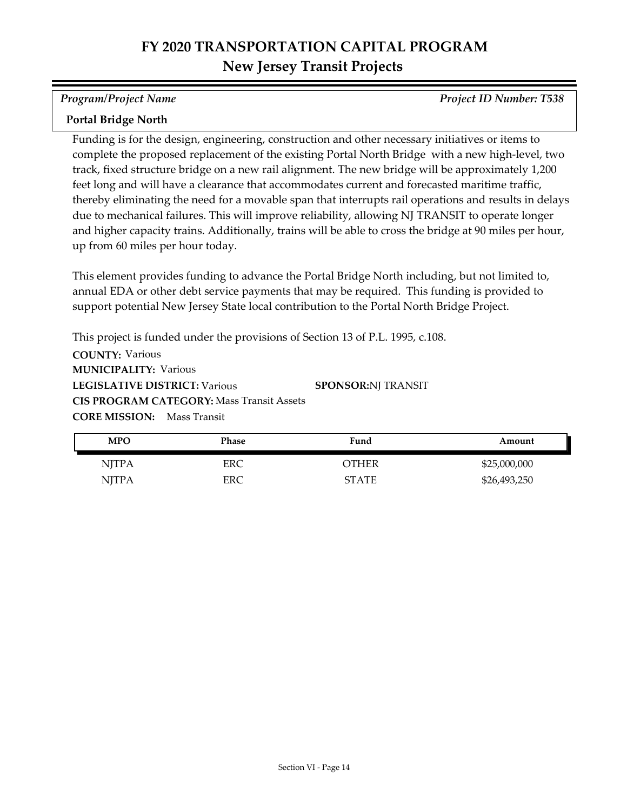*Program/Project Name Project ID Number: T538*

#### **Portal Bridge North**

Funding is for the design, engineering, construction and other necessary initiatives or items to complete the proposed replacement of the existing Portal North Bridge with a new high-level, two track, fixed structure bridge on a new rail alignment. The new bridge will be approximately 1,200 feet long and will have a clearance that accommodates current and forecasted maritime traffic, thereby eliminating the need for a movable span that interrupts rail operations and results in delays due to mechanical failures. This will improve reliability, allowing NJ TRANSIT to operate longer and higher capacity trains. Additionally, trains will be able to cross the bridge at 90 miles per hour, up from 60 miles per hour today.

This element provides funding to advance the Portal Bridge North including, but not limited to, annual EDA or other debt service payments that may be required. This funding is provided to support potential New Jersey State local contribution to the Portal North Bridge Project.

**COUNTY:** Various **LEGISLATIVE DISTRICT:** Various **MUNICIPALITY: Various CORE MISSION:** Mass Transit This project is funded under the provisions of Section 13 of P.L. 1995, c.108. **CIS PROGRAM CATEGORY:** Mass Transit Assets**SPONSOR:** NJ TRANSIT

| <b>MPO</b>   | Phase | Fund         | Amount       |
|--------------|-------|--------------|--------------|
| <b>NJTPA</b> | ERC   | OTHER        | \$25,000,000 |
| <b>NJTPA</b> | ERC   | <b>STATE</b> | \$26,493,250 |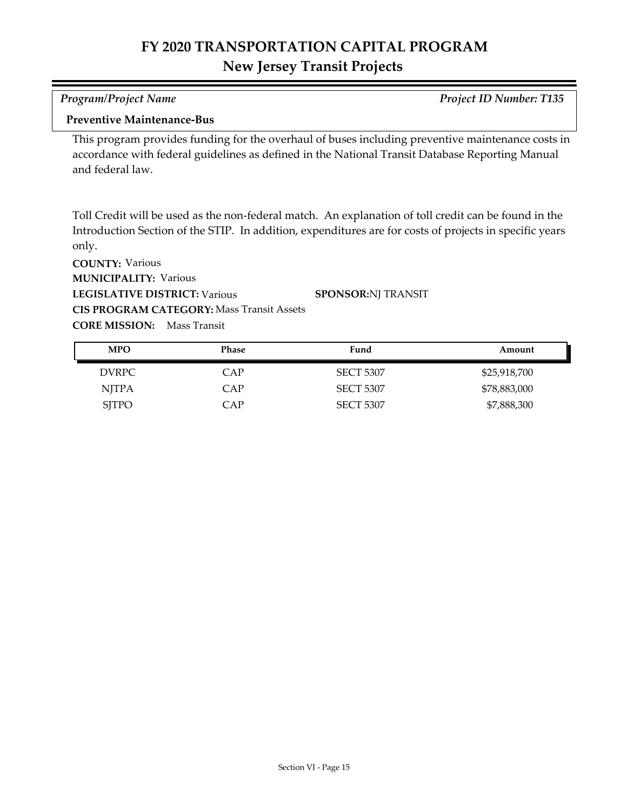| Program/Project Name                                                                              | <b>Project ID Number: T135</b> |
|---------------------------------------------------------------------------------------------------|--------------------------------|
| <b>Preventive Maintenance-Bus</b>                                                                 |                                |
| This program provides funding for the overhaul of buses including preventive maintenance costs in |                                |
| accordance with federal guidelines as defined in the National Transit Database Reporting Manual   |                                |
| and federal law.                                                                                  |                                |

Toll Credit will be used as the non-federal match. An explanation of toll credit can be found in the Introduction Section of the STIP. In addition, expenditures are for costs of projects in specific years only.

| <b>MPO</b>   | <b>Phase</b> | Fund             | Amount       |
|--------------|--------------|------------------|--------------|
| DVRPC        | CAP          | <b>SECT 5307</b> | \$25,918,700 |
| <b>NJTPA</b> | <b>CAP</b>   | <b>SECT 5307</b> | \$78,883,000 |
| <b>SITPO</b> | CAP          | <b>SECT 5307</b> | \$7,888,300  |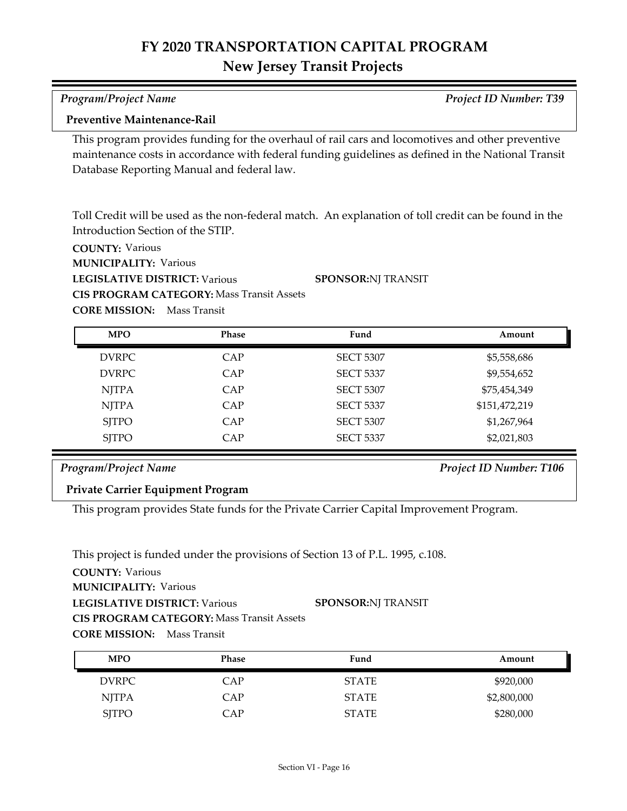| Program/Project Name               | <b>Project ID Number: T39</b> |
|------------------------------------|-------------------------------|
| <b>Preventive Maintenance-Rail</b> |                               |

This program provides funding for the overhaul of rail cars and locomotives and other preventive maintenance costs in accordance with federal funding guidelines as defined in the National Transit Database Reporting Manual and federal law.

Toll Credit will be used as the non-federal match. An explanation of toll credit can be found in the Introduction Section of the STIP.

**SPONSOR:** NJ TRANSIT

**COUNTY:** Various

**MUNICIPALITY: Various** 

**LEGISLATIVE DISTRICT:** Various

**CIS PROGRAM CATEGORY:** Mass Transit Assets

**CORE MISSION:** Mass Transit

| <b>MPO</b>   | <b>Phase</b> | Fund             | Amount        |
|--------------|--------------|------------------|---------------|
| <b>DVRPC</b> | CAP          | <b>SECT 5307</b> | \$5,558,686   |
| <b>DVRPC</b> | CAP          | <b>SECT 5337</b> | \$9,554,652   |
| <b>NJTPA</b> | CAP          | <b>SECT 5307</b> | \$75,454,349  |
| <b>NJTPA</b> | CAP          | <b>SECT 5337</b> | \$151,472,219 |
| <b>SITPO</b> | CAP          | <b>SECT 5307</b> | \$1,267,964   |
| <b>SJTPO</b> | CAP          | <b>SECT 5337</b> | \$2,021,803   |

### *Program/Project Name Project ID Number: T106*

**Private Carrier Equipment Program**

This program provides State funds for the Private Carrier Capital Improvement Program.

This project is funded under the provisions of Section 13 of P.L. 1995, c.108.

| <b>MPO</b>   | <b>Phase</b> | Fund         | Amount      |
|--------------|--------------|--------------|-------------|
| <b>DVRPC</b> | CAP          | <b>STATE</b> | \$920,000   |
| <b>NJTPA</b> | CAP          | <b>STATE</b> | \$2,800,000 |
| <b>SJTPO</b> | CAP          | <b>STATE</b> | \$280,000   |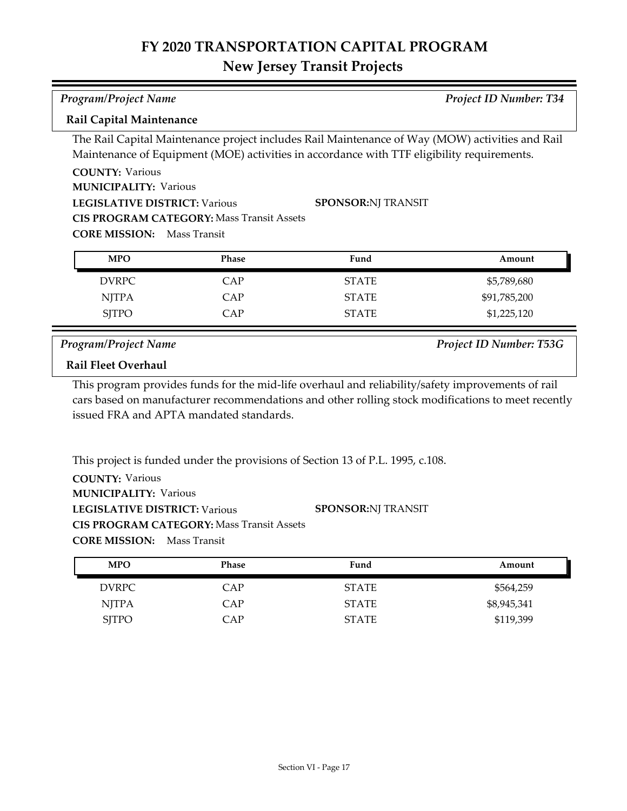# **FY 2020 TRANSPORTATION CAPITAL PROGRAM**

## **New Jersey Transit Projects**

| <b>Program/Project Name</b>                                       |                                 |                                                                                                 | Project ID Number: T34 |  |  |
|-------------------------------------------------------------------|---------------------------------|-------------------------------------------------------------------------------------------------|------------------------|--|--|
|                                                                   | <b>Rail Capital Maintenance</b> |                                                                                                 |                        |  |  |
|                                                                   |                                 | The Rail Capital Maintenance project includes Rail Maintenance of Way (MOW) activities and Rail |                        |  |  |
|                                                                   |                                 | Maintenance of Equipment (MOE) activities in accordance with TTF eligibility requirements.      |                        |  |  |
| <b>COUNTY: Various</b>                                            |                                 |                                                                                                 |                        |  |  |
| <b>MUNICIPALITY: Various</b>                                      |                                 |                                                                                                 |                        |  |  |
| <b>SPONSOR:NJ TRANSIT</b><br><b>LEGISLATIVE DISTRICT: Various</b> |                                 |                                                                                                 |                        |  |  |
| <b>CIS PROGRAM CATEGORY: Mass Transit Assets</b>                  |                                 |                                                                                                 |                        |  |  |
| <b>CORE MISSION:</b>                                              | Mass Transit                    |                                                                                                 |                        |  |  |
| <b>MPO</b>                                                        | Phase                           | Fund                                                                                            | Amount                 |  |  |
|                                                                   |                                 |                                                                                                 |                        |  |  |
| <b>DVRPC</b>                                                      | CAP                             | <b>STATE</b>                                                                                    | \$5,789,680            |  |  |
| <b>NJTPA</b>                                                      | CAP                             | <b>STATE</b>                                                                                    | \$91,785,200           |  |  |
| <b>SITPO</b>                                                      | <b>CAP</b>                      | <b>STATE</b>                                                                                    | \$1,225,120            |  |  |

*Program/Project Name Project ID Number: T53G*

### **Rail Fleet Overhaul**

This program provides funds for the mid-life overhaul and reliability/safety improvements of rail cars based on manufacturer recommendations and other rolling stock modifications to meet recently issued FRA and APTA mandated standards.

| This project is funded under the provisions of Section 13 of P.L. 1995, c.108. |                           |
|--------------------------------------------------------------------------------|---------------------------|
| <b>COUNTY: Various</b>                                                         |                           |
| <b>MUNICIPALITY: Various</b>                                                   |                           |
| <b>LEGISLATIVE DISTRICT: Various</b>                                           | <b>SPONSOR:NI TRANSIT</b> |
| <b>CIS PROGRAM CATEGORY: Mass Transit Assets</b>                               |                           |
| <b>CORE MISSION:</b> Mass Transit                                              |                           |

| <b>MPO</b>   | <b>Phase</b> | Fund         | Amount      |
|--------------|--------------|--------------|-------------|
| DVRPC        | CAP          | <b>STATE</b> | \$564,259   |
| NJTPA        | CAP          | <b>STATE</b> | \$8,945,341 |
| <b>SJTPO</b> | CAP          | <b>STATE</b> | \$119,399   |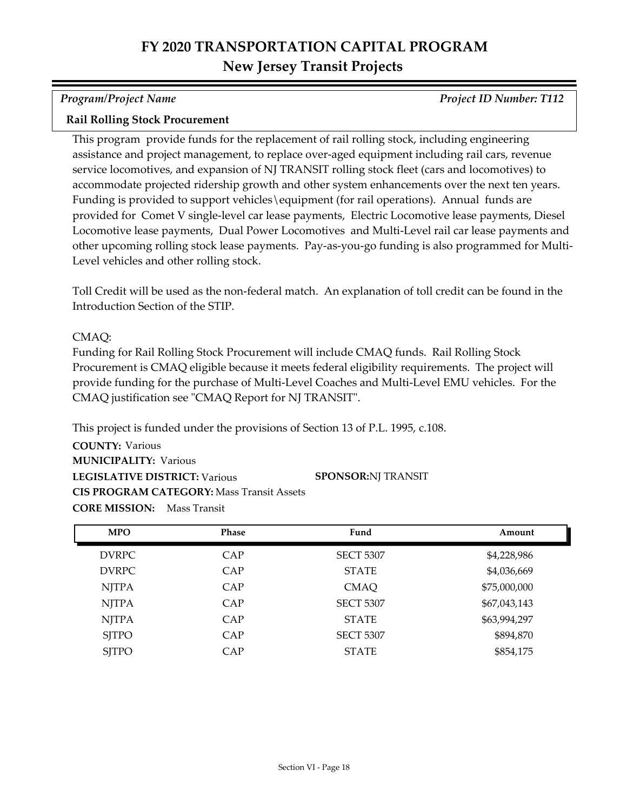*Program/Project Name Project ID Number: T112*

#### **Rail Rolling Stock Procurement**

This program provide funds for the replacement of rail rolling stock, including engineering assistance and project management, to replace over-aged equipment including rail cars, revenue service locomotives, and expansion of NJ TRANSIT rolling stock fleet (cars and locomotives) to accommodate projected ridership growth and other system enhancements over the next ten years. Funding is provided to support vehicles\equipment (for rail operations). Annual funds are provided for Comet V single-level car lease payments, Electric Locomotive lease payments, Diesel Locomotive lease payments, Dual Power Locomotives and Multi-Level rail car lease payments and other upcoming rolling stock lease payments. Pay-as-you-go funding is also programmed for Multi-Level vehicles and other rolling stock.

Toll Credit will be used as the non-federal match. An explanation of toll credit can be found in the Introduction Section of the STIP.

#### CMAQ:

Funding for Rail Rolling Stock Procurement will include CMAQ funds. Rail Rolling Stock Procurement is CMAQ eligible because it meets federal eligibility requirements. The project will provide funding for the purchase of Multi-Level Coaches and Multi-Level EMU vehicles. For the CMAQ justification see "CMAQ Report for NJ TRANSIT".

This project is funded under the provisions of Section 13 of P.L. 1995, c.108.

| <b>MPO</b>   | <b>Phase</b> | Fund             | Amount       |
|--------------|--------------|------------------|--------------|
| <b>DVRPC</b> | CAP          | <b>SECT 5307</b> | \$4,228,986  |
| <b>DVRPC</b> | CAP          | <b>STATE</b>     | \$4,036,669  |
| NJTPA        | CAP          | <b>CMAQ</b>      | \$75,000,000 |
| <b>NJTPA</b> | CAP          | <b>SECT 5307</b> | \$67,043,143 |
| <b>NJTPA</b> | CAP          | <b>STATE</b>     | \$63,994,297 |
| <b>SITPO</b> | CAP          | <b>SECT 5307</b> | \$894,870    |
| <b>SJTPO</b> | CAP          | <b>STATE</b>     | \$854,175    |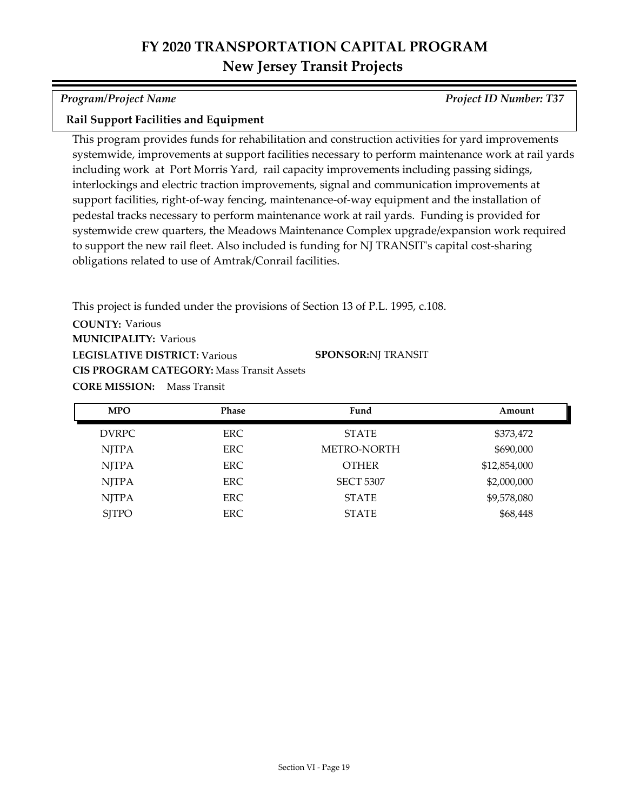*Program/Project Name Project ID Number: T37*

#### **Rail Support Facilities and Equipment**

This program provides funds for rehabilitation and construction activities for yard improvements systemwide, improvements at support facilities necessary to perform maintenance work at rail yards including work at Port Morris Yard, rail capacity improvements including passing sidings, interlockings and electric traction improvements, signal and communication improvements at support facilities, right-of-way fencing, maintenance-of-way equipment and the installation of pedestal tracks necessary to perform maintenance work at rail yards. Funding is provided for systemwide crew quarters, the Meadows Maintenance Complex upgrade/expansion work required to support the new rail fleet. Also included is funding for NJ TRANSIT's capital cost-sharing obligations related to use of Amtrak/Conrail facilities.

**COUNTY:** Various **LEGISLATIVE DISTRICT:** Various **MUNICIPALITY: Various CORE MISSION:** Mass Transit This project is funded under the provisions of Section 13 of P.L. 1995, c.108. **CIS PROGRAM CATEGORY:** Mass Transit Assets**SPONSOR:** NJ TRANSIT

| <b>MPO</b>   | <b>Phase</b> | Fund             | Amount       |
|--------------|--------------|------------------|--------------|
| <b>DVRPC</b> | ERC.         | <b>STATE</b>     | \$373,472    |
| <b>NJTPA</b> | ERC.         | METRO-NORTH      | \$690,000    |
| <b>NJTPA</b> | <b>ERC</b>   | <b>OTHER</b>     | \$12,854,000 |
| <b>NJTPA</b> | <b>ERC</b>   | <b>SECT 5307</b> | \$2,000,000  |
| <b>NJTPA</b> | <b>ERC</b>   | <b>STATE</b>     | \$9,578,080  |
| <b>SJTPO</b> | ERC.         | <b>STATE</b>     | \$68,448     |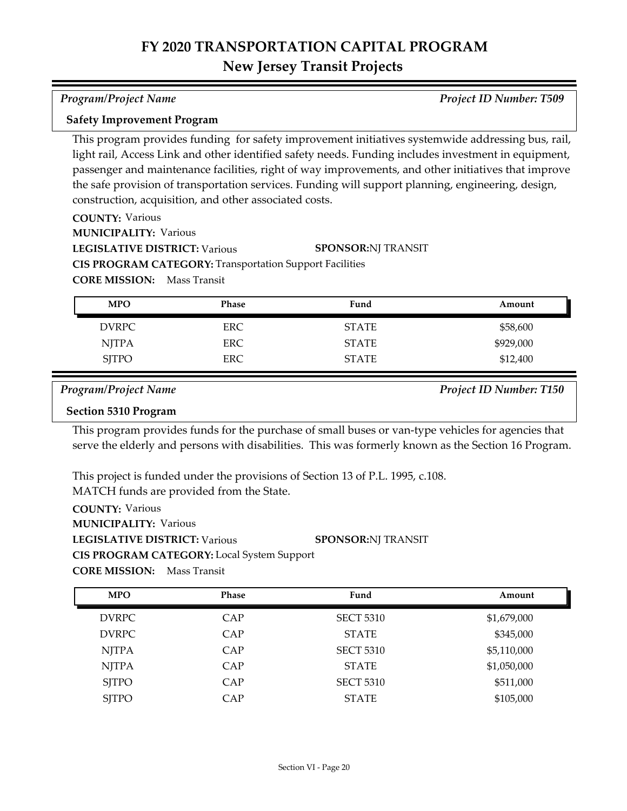#### *Program/Project Name Project ID Number: T509*

#### **Safety Improvement Program**

This program provides funding for safety improvement initiatives systemwide addressing bus, rail, light rail, Access Link and other identified safety needs. Funding includes investment in equipment, passenger and maintenance facilities, right of way improvements, and other initiatives that improve the safe provision of transportation services. Funding will support planning, engineering, design, construction, acquisition, and other associated costs.

**SPONSOR:** NJ TRANSIT

**COUNTY:** Various

**MUNICIPALITY: Various** 

**LEGISLATIVE DISTRICT:** Various

**CIS PROGRAM CATEGORY:** Transportation Support Facilities

**CORE MISSION:** Mass Transit

| <b>MPO</b>   | <b>Phase</b> | Fund         | Amount    |
|--------------|--------------|--------------|-----------|
| <b>DVRPC</b> | ERC          | <b>STATE</b> | \$58,600  |
| <b>NJTPA</b> | ERC.         | <b>STATE</b> | \$929,000 |
| <b>SJTPO</b> | <b>ERC</b>   | <b>STATE</b> | \$12,400  |

*Program/Project Name Project ID Number: T150*

#### **Section 5310 Program**

This program provides funds for the purchase of small buses or van-type vehicles for agencies that serve the elderly and persons with disabilities. This was formerly known as the Section 16 Program.

This project is funded under the provisions of Section 13 of P.L. 1995, c.108. MATCH funds are provided from the State.

**COUNTY:** Various **LEGISLATIVE DISTRICT:** Various **MUNICIPALITY: Various CIS PROGRAM CATEGORY:** Local System Support**SPONSOR:** NJ TRANSIT

| <b>MPO</b>   | <b>Phase</b> | Fund             | Amount      |
|--------------|--------------|------------------|-------------|
| <b>DVRPC</b> | CAP          | <b>SECT 5310</b> | \$1,679,000 |
| <b>DVRPC</b> | CAP          | <b>STATE</b>     | \$345,000   |
| <b>NJTPA</b> | CAP          | <b>SECT 5310</b> | \$5,110,000 |
| <b>NJTPA</b> | CAP          | <b>STATE</b>     | \$1,050,000 |
| <b>SITPO</b> | CAP          | <b>SECT 5310</b> | \$511,000   |
| <b>SJTPO</b> | CAP          | <b>STATE</b>     | \$105,000   |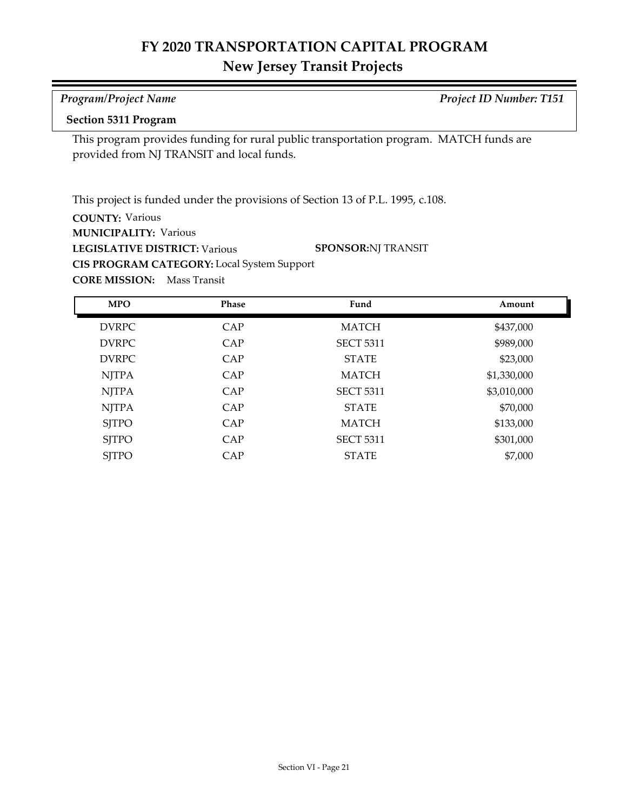# **FY 2020 TRANSPORTATION CAPITAL PROGRAM**

## **New Jersey Transit Projects**

# *Program/Project Name Project ID Number: T151*

### **Section 5311 Program**

This program provides funding for rural public transportation program. MATCH funds are provided from NJ TRANSIT and local funds.

This project is funded under the provisions of Section 13 of P.L. 1995, c.108.

**COUNTY:** Various

**MUNICIPALITY: Various** 

**LEGISLATIVE DISTRICT:** Various

**SPONSOR:** NJ TRANSIT

**CIS PROGRAM CATEGORY:** Local System Support

| <b>MPO</b>   | Phase | Fund             | Amount      |
|--------------|-------|------------------|-------------|
| <b>DVRPC</b> | CAP   | <b>MATCH</b>     | \$437,000   |
| <b>DVRPC</b> | CAP   | <b>SECT 5311</b> | \$989,000   |
| <b>DVRPC</b> | CAP   | <b>STATE</b>     | \$23,000    |
| <b>NJTPA</b> | CAP   | <b>MATCH</b>     | \$1,330,000 |
| <b>NJTPA</b> | CAP   | <b>SECT 5311</b> | \$3,010,000 |
| <b>NJTPA</b> | CAP   | <b>STATE</b>     | \$70,000    |
| <b>SITPO</b> | CAP   | <b>MATCH</b>     | \$133,000   |
| <b>SITPO</b> | CAP   | <b>SECT 5311</b> | \$301,000   |
| <b>SJTPO</b> | CAP   | <b>STATE</b>     | \$7,000     |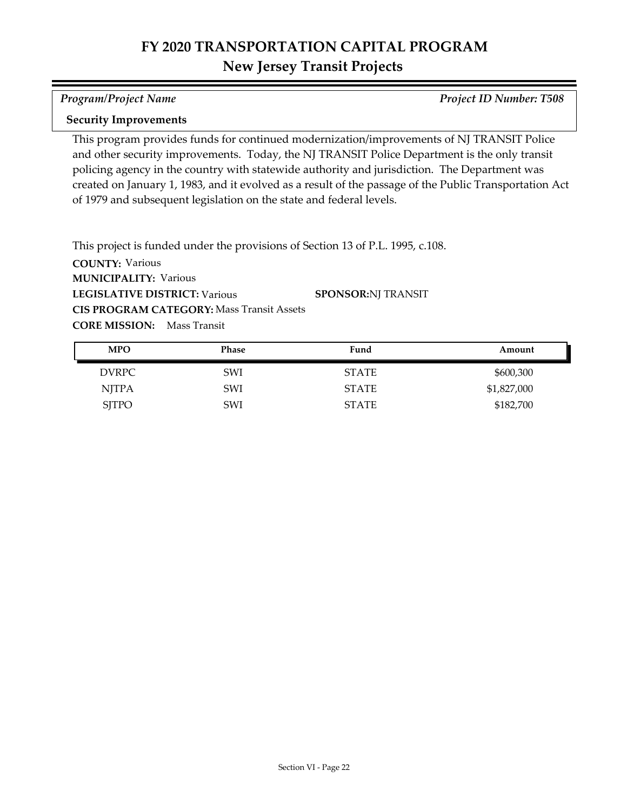#### *Program/Project Name Project ID Number: T508*

#### **Security Improvements**

This program provides funds for continued modernization/improvements of NJ TRANSIT Police and other security improvements. Today, the NJ TRANSIT Police Department is the only transit policing agency in the country with statewide authority and jurisdiction. The Department was created on January 1, 1983, and it evolved as a result of the passage of the Public Transportation Act of 1979 and subsequent legislation on the state and federal levels.

This project is funded under the provisions of Section 13 of P.L. 1995, c.108.

| <b>MPO</b>   | Phase      | Fund         | Amount      |
|--------------|------------|--------------|-------------|
| DVRPC        | <b>SWI</b> | <b>STATE</b> | \$600,300   |
| NJTPA        | <b>SWI</b> | STATE        | \$1,827,000 |
| <b>SJTPO</b> | SWI        | STATE        | \$182,700   |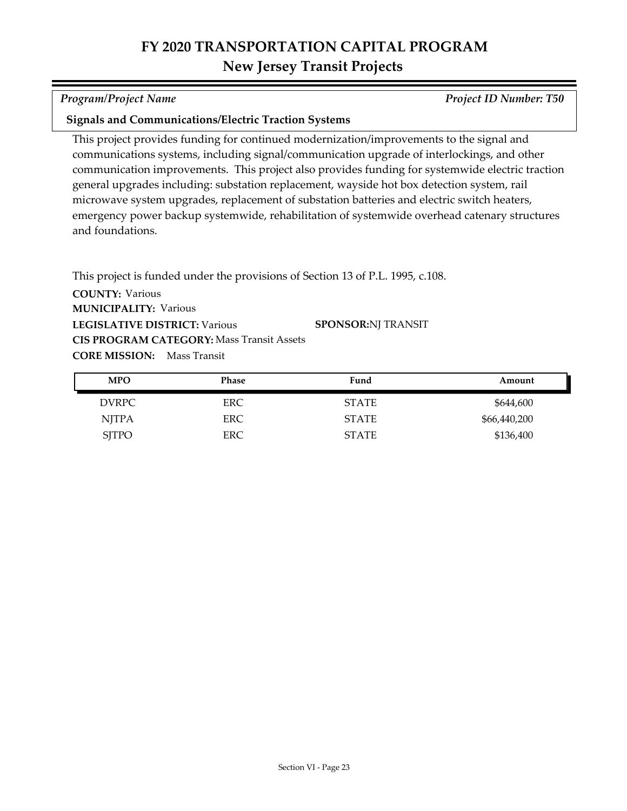*Program/Project Name Project ID Number: T50*

### **Signals and Communications/Electric Traction Systems**

This project provides funding for continued modernization/improvements to the signal and communications systems, including signal/communication upgrade of interlockings, and other communication improvements. This project also provides funding for systemwide electric traction general upgrades including: substation replacement, wayside hot box detection system, rail microwave system upgrades, replacement of substation batteries and electric switch heaters, emergency power backup systemwide, rehabilitation of systemwide overhead catenary structures and foundations.

**COUNTY:** Various **LEGISLATIVE DISTRICT:** Various **MUNICIPALITY: Various CORE MISSION:** Mass Transit This project is funded under the provisions of Section 13 of P.L. 1995, c.108. **CIS PROGRAM CATEGORY:** Mass Transit Assets**SPONSOR:** NJ TRANSIT

| <b>MPO</b>   | Phase      | Fund         | Amount       |
|--------------|------------|--------------|--------------|
| <b>DVRPC</b> | ERC        | <b>STATE</b> | \$644,600    |
| NJTPA        | <b>ERC</b> | <b>STATE</b> | \$66,440,200 |
| <b>SJTPO</b> | ERC        | <b>STATE</b> | \$136,400    |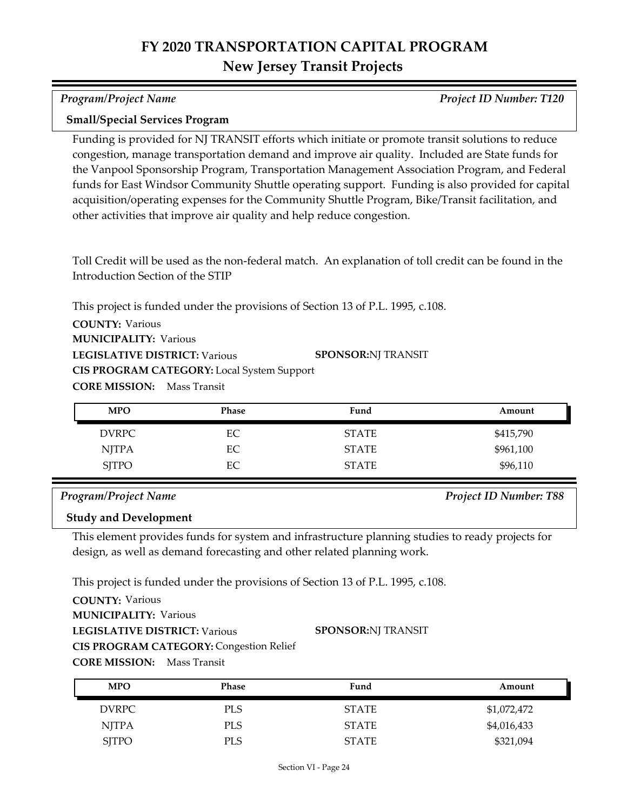*Program/Project Name Project ID Number: T120*

#### **Small/Special Services Program**

Funding is provided for NJ TRANSIT efforts which initiate or promote transit solutions to reduce congestion, manage transportation demand and improve air quality. Included are State funds for the Vanpool Sponsorship Program, Transportation Management Association Program, and Federal funds for East Windsor Community Shuttle operating support. Funding is also provided for capital acquisition/operating expenses for the Community Shuttle Program, Bike/Transit facilitation, and other activities that improve air quality and help reduce congestion.

Toll Credit will be used as the non-federal match. An explanation of toll credit can be found in the Introduction Section of the STIP

This project is funded under the provisions of Section 13 of P.L. 1995, c.108.

**COUNTY:** Various

**MUNICIPALITY: Various** 

**LEGISLATIVE DISTRICT:** Various **SPONSOR:** NJ TRANSIT

**CIS PROGRAM CATEGORY:** Local System Support

**CORE MISSION:** Mass Transit

| <b>MPO</b>   | <b>Phase</b> | Fund         | Amount    |
|--------------|--------------|--------------|-----------|
| <b>DVRPC</b> | EС           | <b>STATE</b> | \$415,790 |
| <b>NJTPA</b> | EC           | <b>STATE</b> | \$961,100 |
| <b>SJTPO</b> | EC           | <b>STATE</b> | \$96,110  |

#### *Program/Project Name Project ID Number: T88*

#### **Study and Development**

This element provides funds for system and infrastructure planning studies to ready projects for design, as well as demand forecasting and other related planning work.

This project is funded under the provisions of Section 13 of P.L. 1995, c.108.

**COUNTY:** Various **LEGISLATIVE DISTRICT:** Various **MUNICIPALITY: Various CIS PROGRAM CATEGORY:** Congestion Relief

**SPONSOR:** NJ TRANSIT

| <b>MPO</b>   | <b>Phase</b> | Fund         | Amount      |
|--------------|--------------|--------------|-------------|
| DVRPC        | <b>PLS</b>   | <b>STATE</b> | \$1,072,472 |
| NJTPA        | <b>PLS</b>   | <b>STATE</b> | \$4,016,433 |
| <b>SJTPO</b> | PLS          | <b>STATE</b> | \$321,094   |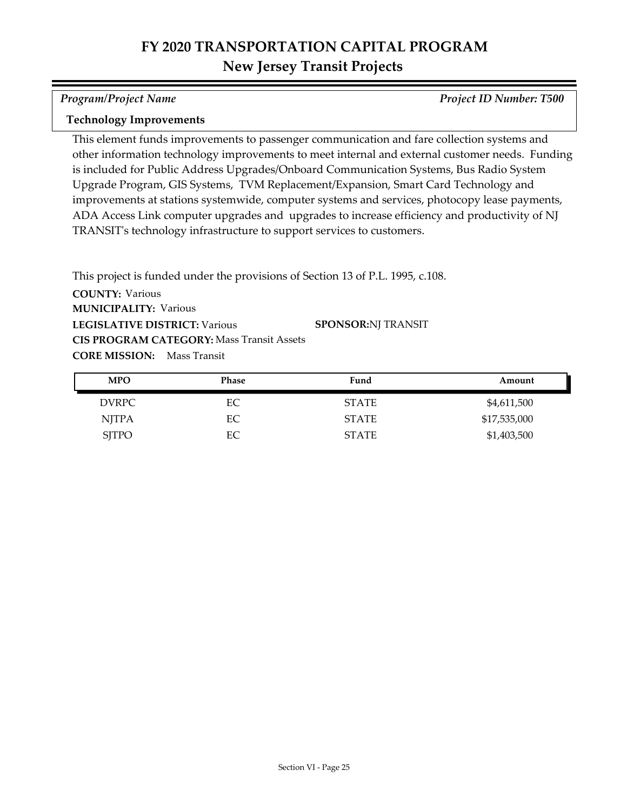*Program/Project Name Project ID Number: T500*

#### **Technology Improvements**

This element funds improvements to passenger communication and fare collection systems and other information technology improvements to meet internal and external customer needs. Funding is included for Public Address Upgrades/Onboard Communication Systems, Bus Radio System Upgrade Program, GIS Systems, TVM Replacement/Expansion, Smart Card Technology and improvements at stations systemwide, computer systems and services, photocopy lease payments, ADA Access Link computer upgrades and upgrades to increase efficiency and productivity of NJ TRANSIT's technology infrastructure to support services to customers.

This project is funded under the provisions of Section 13 of P.L. 1995, c.108.

| <b>MPO</b>   | Phase | Fund         | Amount       |
|--------------|-------|--------------|--------------|
| <b>DVRPC</b> | EС    | <b>STATE</b> | \$4,611,500  |
| <b>NJTPA</b> | EС    | <b>STATE</b> | \$17,535,000 |
| <b>SJTPO</b> | ЕC    | <b>STATE</b> | \$1,403,500  |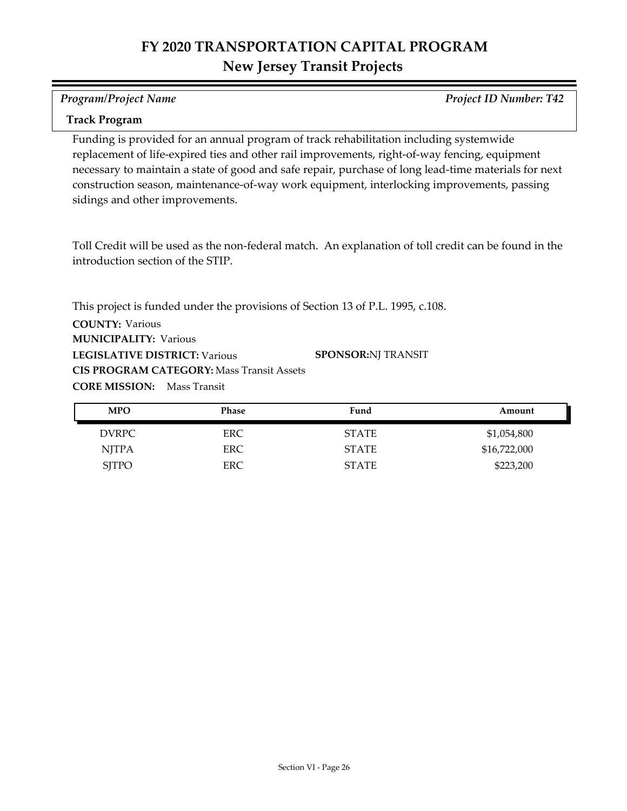#### *Program/Project Name Project ID Number: T42*

#### **Track Program**

Funding is provided for an annual program of track rehabilitation including systemwide replacement of life-expired ties and other rail improvements, right-of-way fencing, equipment necessary to maintain a state of good and safe repair, purchase of long lead-time materials for next construction season, maintenance-of-way work equipment, interlocking improvements, passing sidings and other improvements.

Toll Credit will be used as the non-federal match. An explanation of toll credit can be found in the introduction section of the STIP.

**COUNTY:** Various **LEGISLATIVE DISTRICT:** Various **MUNICIPALITY: Various CORE MISSION:** Mass Transit This project is funded under the provisions of Section 13 of P.L. 1995, c.108. **CIS PROGRAM CATEGORY:** Mass Transit Assets**SPONSOR:** NJ TRANSIT

| <b>MPO</b>   | <b>Phase</b> | Fund         | Amount       |
|--------------|--------------|--------------|--------------|
| DVRPC        | ERC.         | <b>STATE</b> | \$1,054,800  |
| <b>NITPA</b> | ERC.         | <b>STATE</b> | \$16,722,000 |
| <b>SJTPO</b> | ERC.         | <b>STATE</b> | \$223,200    |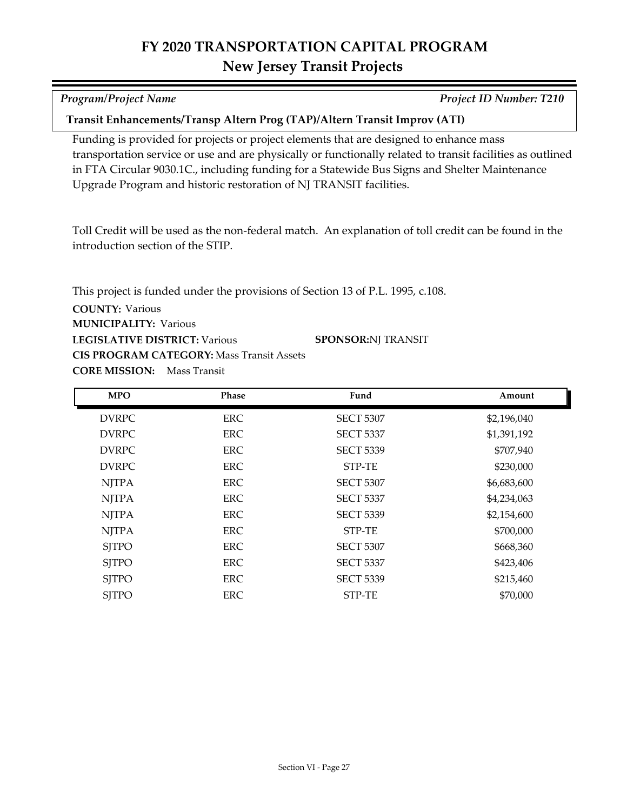| Program/Project Name                                                                                                                                                                                                                                                                                                                                                        | <b>Project ID Number: T210</b> |
|-----------------------------------------------------------------------------------------------------------------------------------------------------------------------------------------------------------------------------------------------------------------------------------------------------------------------------------------------------------------------------|--------------------------------|
| Transit Enhancements/Transp Altern Prog (TAP)/Altern Transit Improv (ATI)                                                                                                                                                                                                                                                                                                   |                                |
| Funding is provided for projects or project elements that are designed to enhance mass<br>transportation service or use and are physically or functionally related to transit facilities as outlined<br>in FTA Circular 9030.1C., including funding for a Statewide Bus Signs and Shelter Maintenance<br>Upgrade Program and historic restoration of NJ TRANSIT facilities. |                                |
| Toll Credit will be used as the non-federal match. An explanation of toll credit can be found in the<br>introduction section of the STIP.                                                                                                                                                                                                                                   |                                |

**COUNTY:** Various **LEGISLATIVE DISTRICT:** Various **MUNICIPALITY: Various** This project is funded under the provisions of Section 13 of P.L. 1995, c.108. **CIS PROGRAM CATEGORY:** Mass Transit Assets**SPONSOR:** NJ TRANSIT

| <b>MPO</b>   | <b>Phase</b> | Fund             | Amount      |
|--------------|--------------|------------------|-------------|
| <b>DVRPC</b> | <b>ERC</b>   | <b>SECT 5307</b> | \$2,196,040 |
| <b>DVRPC</b> | <b>ERC</b>   | <b>SECT 5337</b> | \$1,391,192 |
| <b>DVRPC</b> | <b>ERC</b>   | <b>SECT 5339</b> | \$707,940   |
| <b>DVRPC</b> | <b>ERC</b>   | STP-TE           | \$230,000   |
| <b>NJTPA</b> | ERC          | <b>SECT 5307</b> | \$6,683,600 |
| <b>NJTPA</b> | ERC          | <b>SECT 5337</b> | \$4,234,063 |
| <b>NJTPA</b> | <b>ERC</b>   | <b>SECT 5339</b> | \$2,154,600 |
| <b>NJTPA</b> | <b>ERC</b>   | STP-TE           | \$700,000   |
| <b>SJTPO</b> | ERC          | <b>SECT 5307</b> | \$668,360   |
| <b>SJTPO</b> | ERC          | <b>SECT 5337</b> | \$423,406   |
| <b>SJTPO</b> | ERC          | <b>SECT 5339</b> | \$215,460   |
| <b>SJTPO</b> | <b>ERC</b>   | STP-TE           | \$70,000    |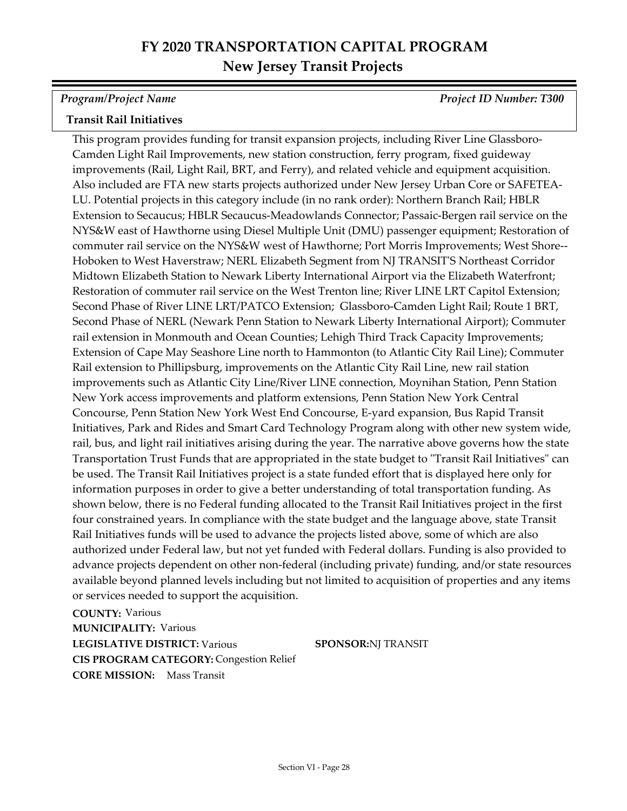*Program/Project Name Project ID Number: T300*

## **Transit Rail Initiatives**

This program provides funding for transit expansion projects, including River Line Glassboro-Camden Light Rail Improvements, new station construction, ferry program, fixed guideway improvements (Rail, Light Rail, BRT, and Ferry), and related vehicle and equipment acquisition. Also included are FTA new starts projects authorized under New Jersey Urban Core or SAFETEA-LU. Potential projects in this category include (in no rank order): Northern Branch Rail; HBLR Extension to Secaucus; HBLR Secaucus-Meadowlands Connector; Passaic-Bergen rail service on the NYS&W east of Hawthorne using Diesel Multiple Unit (DMU) passenger equipment; Restoration of commuter rail service on the NYS&W west of Hawthorne; Port Morris Improvements; West Shore-- Hoboken to West Haverstraw; NERL Elizabeth Segment from NJ TRANSIT'S Northeast Corridor Midtown Elizabeth Station to Newark Liberty International Airport via the Elizabeth Waterfront; Restoration of commuter rail service on the West Trenton line; River LINE LRT Capitol Extension; Second Phase of River LINE LRT/PATCO Extension; Glassboro-Camden Light Rail; Route 1 BRT, Second Phase of NERL (Newark Penn Station to Newark Liberty International Airport); Commuter rail extension in Monmouth and Ocean Counties; Lehigh Third Track Capacity Improvements; Extension of Cape May Seashore Line north to Hammonton (to Atlantic City Rail Line); Commuter Rail extension to Phillipsburg, improvements on the Atlantic City Rail Line, new rail station improvements such as Atlantic City Line/River LINE connection, Moynihan Station, Penn Station New York access improvements and platform extensions, Penn Station New York Central Concourse, Penn Station New York West End Concourse, E-yard expansion, Bus Rapid Transit Initiatives, Park and Rides and Smart Card Technology Program along with other new system wide, rail, bus, and light rail initiatives arising during the year. The narrative above governs how the state Transportation Trust Funds that are appropriated in the state budget to "Transit Rail Initiatives" can be used. The Transit Rail Initiatives project is a state funded effort that is displayed here only for information purposes in order to give a better understanding of total transportation funding. As shown below, there is no Federal funding allocated to the Transit Rail Initiatives project in the first four constrained years. In compliance with the state budget and the language above, state Transit Rail Initiatives funds will be used to advance the projects listed above, some of which are also authorized under Federal law, but not yet funded with Federal dollars. Funding is also provided to advance projects dependent on other non-federal (including private) funding, and/or state resources available beyond planned levels including but not limited to acquisition of properties and any items or services needed to support the acquisition.

**COUNTY:** Various **LEGISLATIVE DISTRICT:** Various **MUNICIPALITY: Various CORE MISSION:** Mass Transit **CIS PROGRAM CATEGORY:** Congestion Relief

**SPONSOR:**NJ TRANSIT